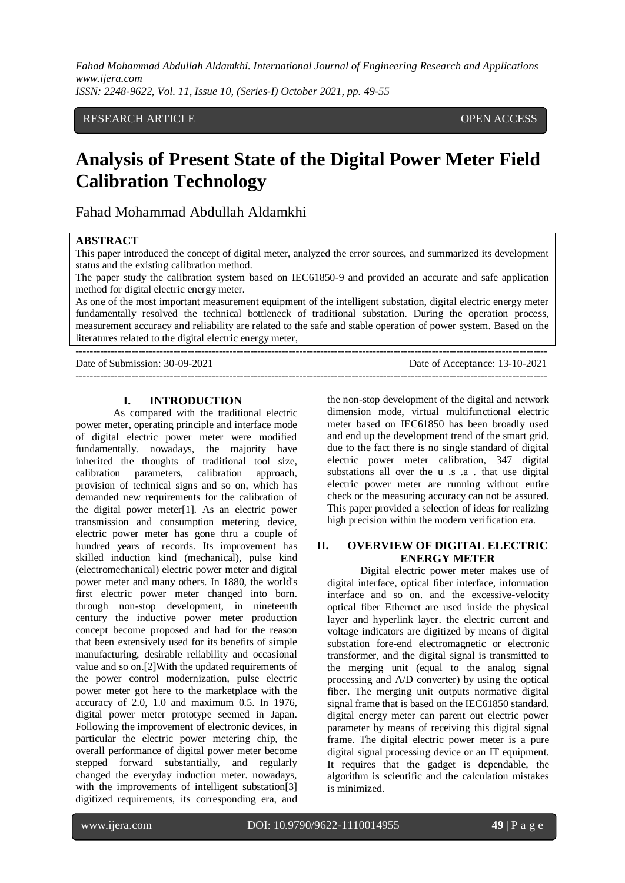*Fahad Mohammad Abdullah Aldamkhi. International Journal of Engineering Research and Applications www.ijera.com ISSN: 2248-9622, Vol. 11, Issue 10, (Series-I) October 2021, pp. 49-55*

#### RESEARCH ARTICLE **OPEN ACCESS**

# **Analysis of Present State of the Digital Power Meter Field Calibration Technology**

Fahad Mohammad Abdullah Aldamkhi

#### **ABSTRACT**

This paper introduced the concept of digital meter, analyzed the error sources, and summarized its development status and the existing calibration method.

The paper study the calibration system based on IEC61850-9 and provided an accurate and safe application method for digital electric energy meter.

As one of the most important measurement equipment of the intelligent substation, digital electric energy meter fundamentally resolved the technical bottleneck of traditional substation. During the operation process, measurement accuracy and reliability are related to the safe and stable operation of power system. Based on the literatures related to the digital electric energy meter,

---------------------------------------------------------------------------------------------------------------------------------------

 $-1-\frac{1}{2}$ 

Date of Submission: 30-09-2021 Date of Acceptance: 13-10-2021

#### **I. INTRODUCTION**

As compared with the traditional electric power meter, operating principle and interface mode of digital electric power meter were modified fundamentally. nowadays, the majority have inherited the thoughts of traditional tool size, calibration parameters, calibration approach, provision of technical signs and so on, which has demanded new requirements for the calibration of the digital power meter[1]. As an electric power transmission and consumption metering device, electric power meter has gone thru a couple of hundred years of records. Its improvement has skilled induction kind (mechanical), pulse kind (electromechanical) electric power meter and digital power meter and many others. In 1880, the world's first electric power meter changed into born. through non-stop development, in nineteenth century the inductive power meter production concept become proposed and had for the reason that been extensively used for its benefits of simple manufacturing, desirable reliability and occasional value and so on.[2]With the updated requirements of the power control modernization, pulse electric power meter got here to the marketplace with the accuracy of 2.0, 1.0 and maximum 0.5. In 1976, digital power meter prototype seemed in Japan. Following the improvement of electronic devices, in particular the electric power metering chip, the overall performance of digital power meter become stepped forward substantially, and regularly changed the everyday induction meter. nowadays, with the improvements of intelligent substation<sup>[3]</sup> digitized requirements, its corresponding era, and

the non-stop development of the digital and network dimension mode, virtual multifunctional electric meter based on IEC61850 has been broadly used and end up the development trend of the smart grid. due to the fact there is no single standard of digital electric power meter calibration, 347 digital substations all over the u .s .a . that use digital electric power meter are running without entire check or the measuring accuracy can not be assured. This paper provided a selection of ideas for realizing high precision within the modern verification era.

#### **II. OVERVIEW OF DIGITAL ELECTRIC ENERGY METER**

Digital electric power meter makes use of digital interface, optical fiber interface, information interface and so on. and the excessive-velocity optical fiber Ethernet are used inside the physical layer and hyperlink layer. the electric current and voltage indicators are digitized by means of digital substation fore-end electromagnetic or electronic transformer, and the digital signal is transmitted to the merging unit (equal to the analog signal processing and A/D converter) by using the optical fiber. The merging unit outputs normative digital signal frame that is based on the IEC61850 standard. digital energy meter can parent out electric power parameter by means of receiving this digital signal frame. The digital electric power meter is a pure digital signal processing device or an IT equipment. It requires that the gadget is dependable, the algorithm is scientific and the calculation mistakes is minimized.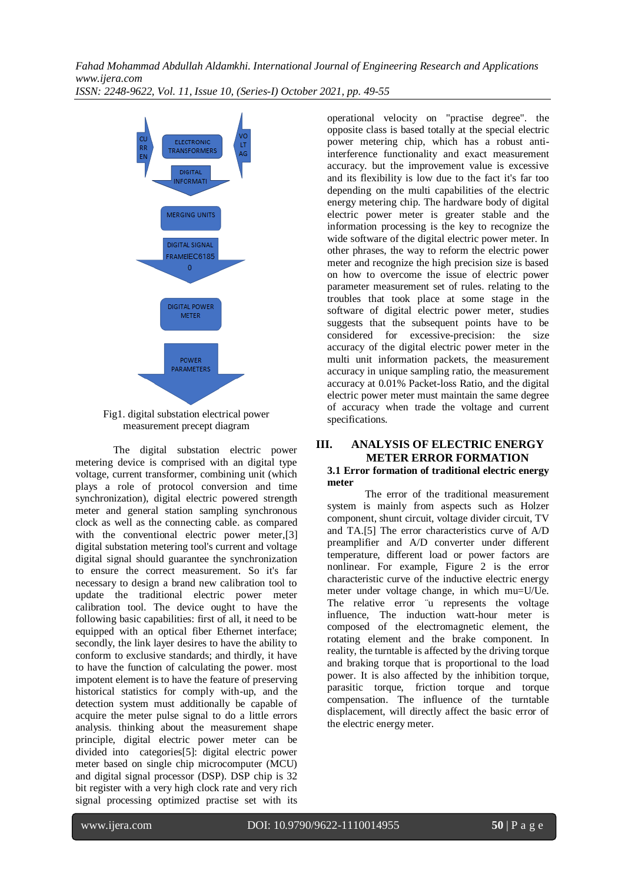*Fahad Mohammad Abdullah Aldamkhi. International Journal of Engineering Research and Applications www.ijera.com ISSN: 2248-9622, Vol. 11, Issue 10, (Series-I) October 2021, pp. 49-55*



Fig1. digital substation electrical power measurement precept diagram

The digital substation electric power metering device is comprised with an digital type voltage, current transformer, combining unit (which plays a role of protocol conversion and time synchronization), digital electric powered strength meter and general station sampling synchronous clock as well as the connecting cable. as compared with the conventional electric power meter,[3] digital substation metering tool's current and voltage digital signal should guarantee the synchronization to ensure the correct measurement. So it's far necessary to design a brand new calibration tool to update the traditional electric power meter calibration tool. The device ought to have the following basic capabilities: first of all, it need to be equipped with an optical fiber Ethernet interface; secondly, the link layer desires to have the ability to conform to exclusive standards; and thirdly, it have to have the function of calculating the power. most impotent element is to have the feature of preserving historical statistics for comply with-up, and the detection system must additionally be capable of acquire the meter pulse signal to do a little errors analysis. thinking about the measurement shape principle, digital electric power meter can be divided into categories[5]: digital electric power meter based on single chip microcomputer (MCU) and digital signal processor (DSP). DSP chip is 32 bit register with a very high clock rate and very rich signal processing optimized practise set with its operational velocity on "practise degree". the opposite class is based totally at the special electric power metering chip, which has a robust antiinterference functionality and exact measurement accuracy. but the improvement value is excessive and its flexibility is low due to the fact it's far too depending on the multi capabilities of the electric energy metering chip. The hardware body of digital electric power meter is greater stable and the information processing is the key to recognize the wide software of the digital electric power meter. In other phrases, the way to reform the electric power meter and recognize the high precision size is based on how to overcome the issue of electric power parameter measurement set of rules. relating to the troubles that took place at some stage in the software of digital electric power meter, studies suggests that the subsequent points have to be considered for excessive-precision: the size accuracy of the digital electric power meter in the multi unit information packets, the measurement accuracy in unique sampling ratio, the measurement accuracy at 0.01% Packet-loss Ratio, and the digital electric power meter must maintain the same degree of accuracy when trade the voltage and current specifications.

# **III. ANALYSIS OF ELECTRIC ENERGY METER ERROR FORMATION**

#### **3.1 Error formation of traditional electric energy meter**

The error of the traditional measurement system is mainly from aspects such as Holzer component, shunt circuit, voltage divider circuit, TV and TA.[5] The error characteristics curve of A/D preamplifier and A/D converter under different temperature, different load or power factors are nonlinear. For example, Figure 2 is the error characteristic curve of the inductive electric energy meter under voltage change, in which mu=U/Ue. The relative error "u represents the voltage influence, The induction watt-hour meter is composed of the electromagnetic element, the rotating element and the brake component. In reality, the turntable is affected by the driving torque and braking torque that is proportional to the load power. It is also affected by the inhibition torque, parasitic torque, friction torque and torque compensation. The influence of the turntable displacement, will directly affect the basic error of the electric energy meter.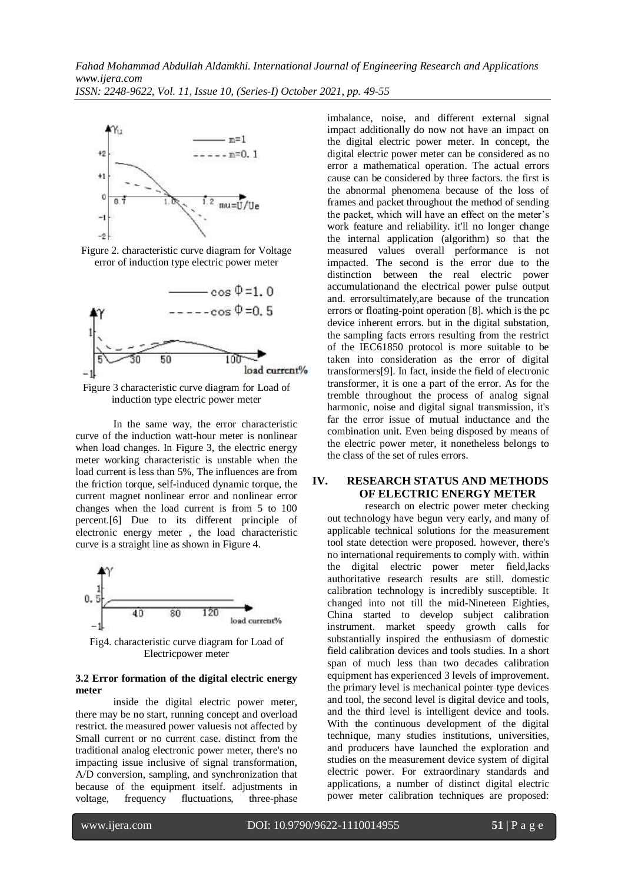





Figure 3 characteristic curve diagram for Load of induction type electric power meter

In the same way, the error characteristic curve of the induction watt-hour meter is nonlinear when load changes. In Figure 3, the electric energy meter working characteristic is unstable when the load current is less than 5%, The influences are from the friction torque, self-induced dynamic torque, the current magnet nonlinear error and nonlinear error changes when the load current is from 5 to 100 percent.[6] Due to its different principle of electronic energy meter , the load characteristic curve is a straight line as shown in Figure 4.



Fig4. characteristic curve diagram for Load of Electricpower meter

#### **3.2 Error formation of the digital electric energy meter**

inside the digital electric power meter, there may be no start, running concept and overload restrict. the measured power valuesis not affected by Small current or no current case. distinct from the traditional analog electronic power meter, there's no impacting issue inclusive of signal transformation, A/D conversion, sampling, and synchronization that because of the equipment itself. adjustments in voltage, frequency fluctuations, three-phase

imbalance, noise, and different external signal impact additionally do now not have an impact on the digital electric power meter. In concept, the digital electric power meter can be considered as no error a mathematical operation. The actual errors cause can be considered by three factors. the first is the abnormal phenomena because of the loss of frames and packet throughout the method of sending the packet, which will have an effect on the meter's work feature and reliability. it'll no longer change the internal application (algorithm) so that the measured values overall performance is not impacted. The second is the error due to the distinction between the real electric power accumulationand the electrical power pulse output and. errorsultimately,are because of the truncation errors or floating-point operation [8]. which is the pc device inherent errors. but in the digital substation, the sampling facts errors resulting from the restrict of the IEC61850 protocol is more suitable to be taken into consideration as the error of digital transformers[9]. In fact, inside the field of electronic transformer, it is one a part of the error. As for the tremble throughout the process of analog signal harmonic, noise and digital signal transmission, it's far the error issue of mutual inductance and the combination unit. Even being disposed by means of the electric power meter, it nonetheless belongs to the class of the set of rules errors.

## **IV. RESEARCH STATUS AND METHODS OF ELECTRIC ENERGY METER**

research on electric power meter checking out technology have begun very early, and many of applicable technical solutions for the measurement tool state detection were proposed. however, there's no international requirements to comply with. within the digital electric power meter field,lacks authoritative research results are still. domestic calibration technology is incredibly susceptible. It changed into not till the mid-Nineteen Eighties, China started to develop subject calibration instrument. market speedy growth calls for substantially inspired the enthusiasm of domestic field calibration devices and tools studies. In a short span of much less than two decades calibration equipment has experienced 3 levels of improvement. the primary level is mechanical pointer type devices and tool, the second level is digital device and tools, and the third level is intelligent device and tools. With the continuous development of the digital technique, many studies institutions, universities, and producers have launched the exploration and studies on the measurement device system of digital electric power. For extraordinary standards and applications, a number of distinct digital electric power meter calibration techniques are proposed: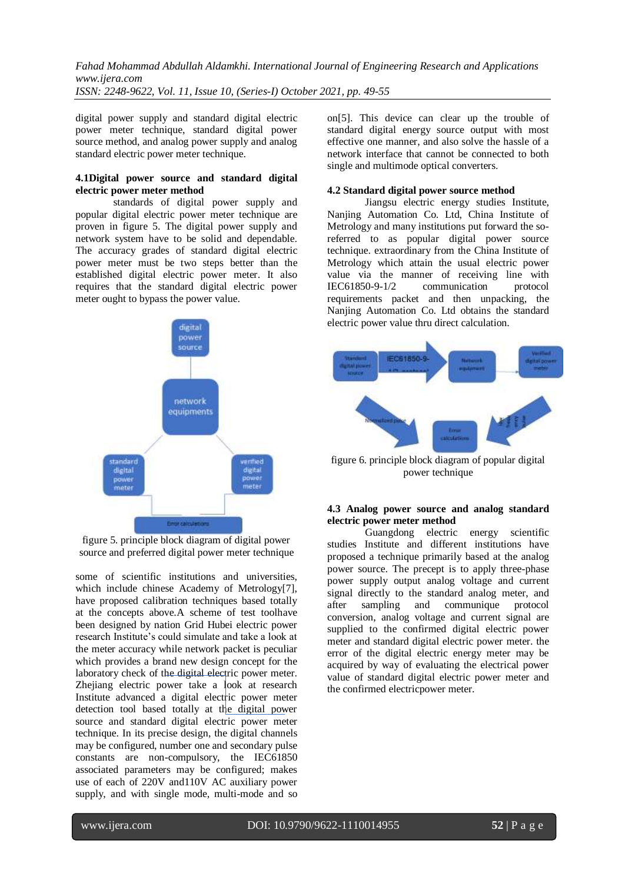*ISSN: 2248-9622, Vol. 11, Issue 10, (Series-I) October 2021, pp. 49-55*

digital power supply and standard digital electric power meter technique, standard digital power source method, and analog power supply and analog standard electric power meter technique.

#### **4.1Digital power source and standard digital electric power meter method**

standards of digital power supply and popular digital electric power meter technique are proven in figure 5. The digital power supply and network system have to be solid and dependable. The accuracy grades of standard digital electric power meter must be two steps better than the established digital electric power meter. It also requires that the standard digital electric power meter ought to bypass the power value.



figure 5. principle block diagram of digital power source and preferred digital power meter technique

some of scientific institutions and universities, which include chinese Academy of Metrology[7], have proposed calibration techniques based totally at the concepts above.A scheme of test toolhave been designed by nation Grid Hubei electric power research Institute's could simulate and take a look at the meter accuracy while network packet is peculiar which provides a brand new design concept for the laboratory check of the digital electric power meter. Zhejiang electric power take a look at research Institute advanced a digital electric power meter detection tool based totally at the digital power source and standard digital electric power meter technique. In its precise design, the digital channels may be configured, number one and secondary pulse constants are non-compulsory, the IEC61850 associated parameters may be configured; makes use of each of 220V and110V AC auxiliary power supply, and with single mode, multi-mode and so on[5]. This device can clear up the trouble of standard digital energy source output with most effective one manner, and also solve the hassle of a network interface that cannot be connected to both single and multimode optical converters.

## **4.2 Standard digital power source method**

Jiangsu electric energy studies Institute, Nanjing Automation Co. Ltd, China Institute of Metrology and many institutions put forward the soreferred to as popular digital power source technique. extraordinary from the China Institute of Metrology which attain the usual electric power value via the manner of receiving line with<br>IEC61850-9-1/2 communication protocol  $IEC61850-9-1/2$  communication requirements packet and then unpacking, the Nanjing Automation Co. Ltd obtains the standard electric power value thru direct calculation.



figure 6. principle block diagram of popular digital power technique

### **4.3 Analog power source and analog standard electric power meter method**

Guangdong electric energy scientific studies Institute and different institutions have proposed a technique primarily based at the analog power source. The precept is to apply three-phase power supply output analog voltage and current signal directly to the standard analog meter, and after sampling and communique protocol conversion, analog voltage and current signal are supplied to the confirmed digital electric power meter and standard digital electric power meter. the error of the digital electric energy meter may be acquired by way of evaluating the electrical power value of standard digital electric power meter and the confirmed electricpower meter.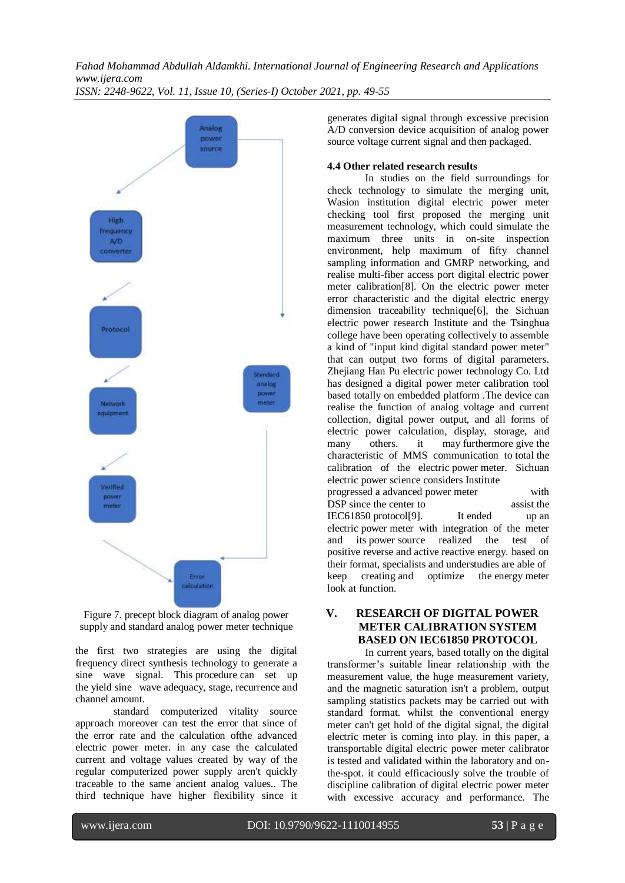*ISSN: 2248-9622, Vol. 11, Issue 10, (Series-I) October 2021, pp. 49-55*



Figure 7. precept block diagram of analog power supply and standard analog power meter technique

the first two strategies are using the digital frequency direct synthesis technology to generate a sine wave signal. This procedure can set up the yield sine wave adequacy, stage, recurrence and channel amount.

standard computerized vitality source approach moreover can test the error that since of the error rate and the calculation ofthe advanced electric power meter. in any case the calculated current and voltage values created by way of the regular computerized power supply aren't quickly traceable to the same ancient analog values.. The third technique have higher flexibility since it generates digital signal through excessive precision A/D conversion device acquisition of analog power source voltage current signal and then packaged.

#### **4.4 Other related research results**

In studies on the field surroundings for check technology to simulate the merging unit, Wasion institution digital electric power meter checking tool first proposed the merging unit measurement technology, which could simulate the maximum three units in on-site inspection environment, help maximum of fifty channel sampling information and GMRP networking, and realise multi-fiber access port digital electric power meter calibration[8]. On the electric power meter error characteristic and the digital electric energy dimension traceability technique[6], the Sichuan electric power research Institute and the Tsinghua college have been operating collectively to assemble a kind of "input kind digital standard power meter" that can output two forms of digital parameters. Zhejiang Han Pu electric power technology Co. Ltd has designed a digital power meter calibration tool based totally on embedded platform .The device can realise the function of analog voltage and current collection, digital power output, and all forms of electric power calculation, display, storage, and many others. it may furthermore give the characteristic of MMS communication to total the calibration of the electric power meter. Sichuan electric power science considers Institute progressed a advanced power meter with DSP since the center to assist the IEC61850 protocol[9]. It ended up an electric power meter with integration of the meter and its power source realized the test of positive reverse and active reactive energy. based on their format, specialists and understudies are able of keep creating and optimize the energy meter look at function.

## **V. RESEARCH OF DIGITAL POWER METER CALIBRATION SYSTEM BASED ON IEC61850 PROTOCOL**

In current years, based totally on the digital transformer's suitable linear relationship with the measurement value, the huge measurement variety, and the magnetic saturation isn't a problem, output sampling statistics packets may be carried out with standard format. whilst the conventional energy meter can't get hold of the digital signal, the digital electric meter is coming into play. in this paper, a transportable digital electric power meter calibrator is tested and validated within the laboratory and onthe-spot. it could efficaciously solve the trouble of discipline calibration of digital electric power meter with excessive accuracy and performance. The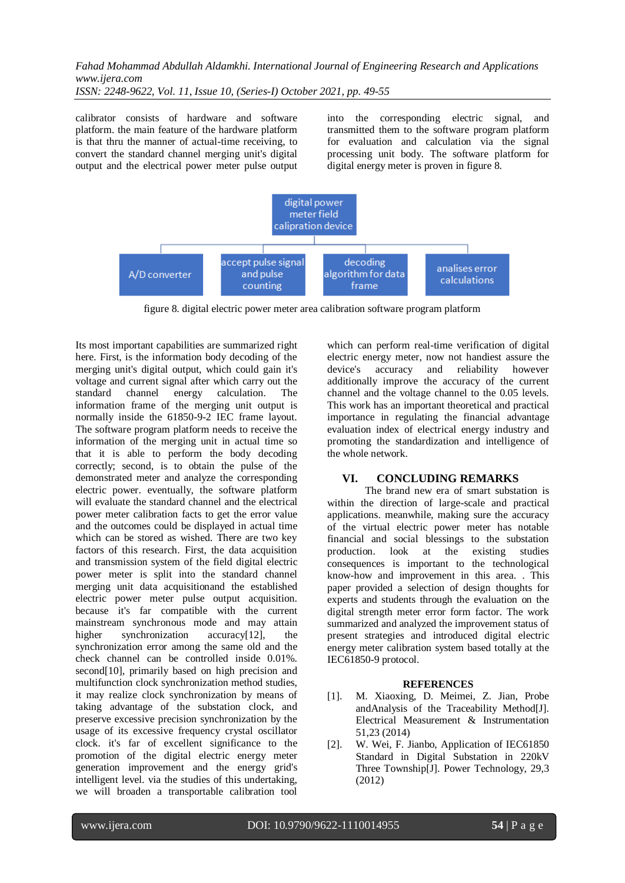*ISSN: 2248-9622, Vol. 11, Issue 10, (Series-I) October 2021, pp. 49-55*

calibrator consists of hardware and software platform. the main feature of the hardware platform is that thru the manner of actual-time receiving, to convert the standard channel merging unit's digital output and the electrical power meter pulse output into the corresponding electric signal, and transmitted them to the software program platform for evaluation and calculation via the signal processing unit body. The software platform for digital energy meter is proven in figure 8.



figure 8. digital electric power meter area calibration software program platform

Its most important capabilities are summarized right here. First, is the information body decoding of the merging unit's digital output, which could gain it's voltage and current signal after which carry out the standard channel energy calculation. The information frame of the merging unit output is normally inside the 61850-9-2 IEC frame layout. The software program platform needs to receive the information of the merging unit in actual time so that it is able to perform the body decoding correctly; second, is to obtain the pulse of the demonstrated meter and analyze the corresponding electric power. eventually, the software platform will evaluate the standard channel and the electrical power meter calibration facts to get the error value and the outcomes could be displayed in actual time which can be stored as wished. There are two key factors of this research. First, the data acquisition and transmission system of the field digital electric power meter is split into the standard channel merging unit data acquisitionand the established electric power meter pulse output acquisition. because it's far compatible with the current mainstream synchronous mode and may attain higher synchronization accuracy[12], the synchronization error among the same old and the check channel can be controlled inside 0.01%. second[10], primarily based on high precision and multifunction clock synchronization method studies, it may realize clock synchronization by means of taking advantage of the substation clock, and preserve excessive precision synchronization by the usage of its excessive frequency crystal oscillator clock. it's far of excellent significance to the promotion of the digital electric energy meter generation improvement and the energy grid's intelligent level. via the studies of this undertaking, we will broaden a transportable calibration tool which can perform real-time verification of digital electric energy meter, now not handiest assure the device's accuracy and reliability however additionally improve the accuracy of the current channel and the voltage channel to the 0.05 levels. This work has an important theoretical and practical importance in regulating the financial advantage evaluation index of electrical energy industry and promoting the standardization and intelligence of the whole network.

## **VI. CONCLUDING REMARKS**

The brand new era of smart substation is within the direction of large-scale and practical applications. meanwhile, making sure the accuracy of the virtual electric power meter has notable financial and social blessings to the substation production. look at the existing studies consequences is important to the technological know-how and improvement in this area. . This paper provided a selection of design thoughts for experts and students through the evaluation on the digital strength meter error form factor. The work summarized and analyzed the improvement status of present strategies and introduced digital electric energy meter calibration system based totally at the IEC61850-9 protocol.

#### **REFERENCES**

- [1]. M. Xiaoxing, D. Meimei, Z. Jian, Probe andAnalysis of the Traceability Method[J]. Electrical Measurement & Instrumentation 51,23 (2014)
- [2]. W. Wei, F. Jianbo, Application of IEC61850 Standard in Digital Substation in 220kV Three Township[J]. Power Technology, 29,3 (2012)